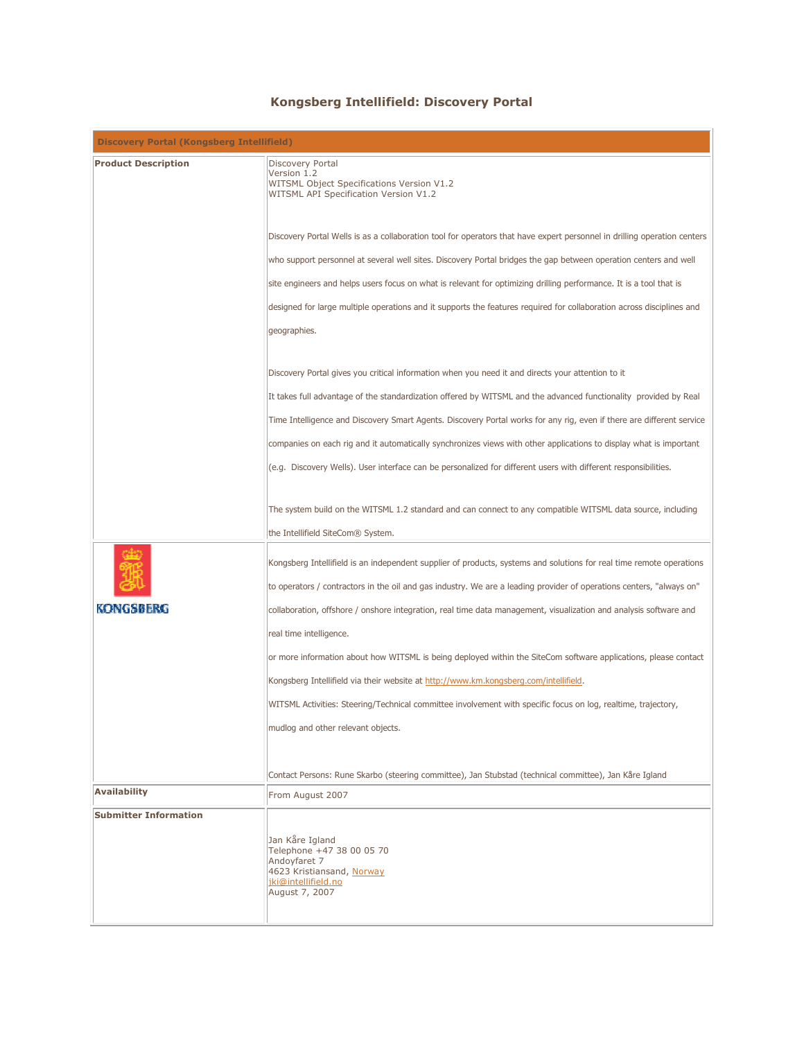## Kongsberg Intellifield: Discovery Portal

| <b>Discovery Portal (Kongsberg Intellifield)</b> |                                                                                                                                                                                                                                              |
|--------------------------------------------------|----------------------------------------------------------------------------------------------------------------------------------------------------------------------------------------------------------------------------------------------|
| <b>Product Description</b>                       | <b>Discovery Portal</b><br>Version 1.2<br>WITSML Object Specifications Version V1.2<br>WITSML API Specification Version V1.2                                                                                                                 |
|                                                  | Discovery Portal Wells is as a collaboration tool for operators that have expert personnel in drilling operation centers                                                                                                                     |
|                                                  | who support personnel at several well sites. Discovery Portal bridges the gap between operation centers and well                                                                                                                             |
|                                                  | site engineers and helps users focus on what is relevant for optimizing drilling performance. It is a tool that is                                                                                                                           |
|                                                  | designed for large multiple operations and it supports the features required for collaboration across disciplines and                                                                                                                        |
|                                                  | geographies.                                                                                                                                                                                                                                 |
|                                                  | Discovery Portal gives you critical information when you need it and directs your attention to it                                                                                                                                            |
|                                                  | It takes full advantage of the standardization offered by WITSML and the advanced functionality provided by Real                                                                                                                             |
|                                                  | Time Intelligence and Discovery Smart Agents. Discovery Portal works for any rig, even if there are different service                                                                                                                        |
|                                                  | companies on each rig and it automatically synchronizes views with other applications to display what is important                                                                                                                           |
|                                                  | (e.g. Discovery Wells). User interface can be personalized for different users with different responsibilities.                                                                                                                              |
|                                                  | The system build on the WITSML 1.2 standard and can connect to any compatible WITSML data source, including<br>the Intellifield SiteCom® System.                                                                                             |
|                                                  |                                                                                                                                                                                                                                              |
|                                                  | Kongsberg Intellifield is an independent supplier of products, systems and solutions for real time remote operations<br>to operators / contractors in the oil and gas industry. We are a leading provider of operations centers, "always on" |
| KONGSBERG                                        | collaboration, offshore / onshore integration, real time data management, visualization and analysis software and                                                                                                                            |
|                                                  | real time intelligence.                                                                                                                                                                                                                      |
|                                                  | or more information about how WITSML is being deployed within the SiteCom software applications, please contact                                                                                                                              |
|                                                  | Kongsberg Intellifield via their website at http://www.km.kongsberg.com/intellifield.                                                                                                                                                        |
|                                                  | WITSML Activities: Steering/Technical committee involvement with specific focus on log, realtime, trajectory,                                                                                                                                |
|                                                  | mudlog and other relevant objects.                                                                                                                                                                                                           |
|                                                  | Contact Persons: Rune Skarbo (steering committee), Jan Stubstad (technical committee), Jan Kåre Igland                                                                                                                                       |
| <b>Availability</b>                              | From August 2007                                                                                                                                                                                                                             |
| <b>Submitter Information</b>                     |                                                                                                                                                                                                                                              |
|                                                  | Jan Kåre Igland<br>Telephone +47 38 00 05 70<br>Andovfaret 7<br>4623 Kristiansand, Norway<br>jki@intellifield.no<br>August 7, 2007                                                                                                           |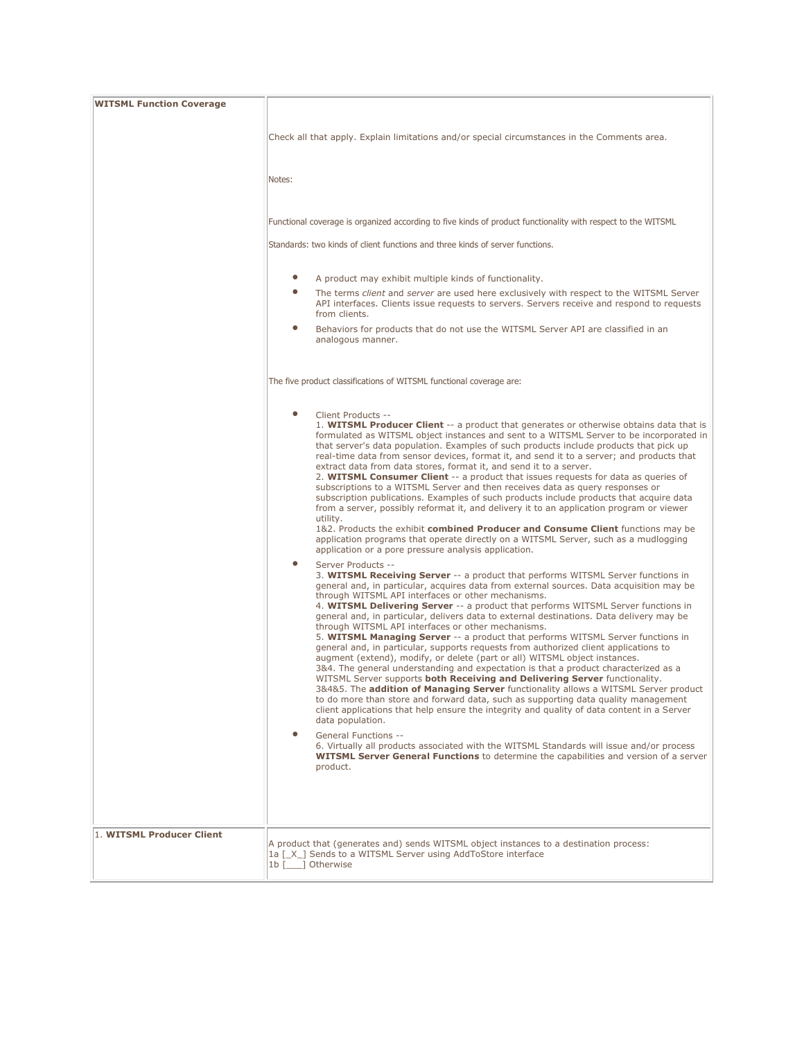| <b>WITSML Function Coverage</b> |                                                                                                                                                                                                                                                                                                                                                                                                                                                                                                                                                                                                                                                                                                                                                                                                                                                                                                                                                                                                                                                                                                                                                                                                                                                                                                                                                                                                                                                                                                                                                                                                                          |
|---------------------------------|--------------------------------------------------------------------------------------------------------------------------------------------------------------------------------------------------------------------------------------------------------------------------------------------------------------------------------------------------------------------------------------------------------------------------------------------------------------------------------------------------------------------------------------------------------------------------------------------------------------------------------------------------------------------------------------------------------------------------------------------------------------------------------------------------------------------------------------------------------------------------------------------------------------------------------------------------------------------------------------------------------------------------------------------------------------------------------------------------------------------------------------------------------------------------------------------------------------------------------------------------------------------------------------------------------------------------------------------------------------------------------------------------------------------------------------------------------------------------------------------------------------------------------------------------------------------------------------------------------------------------|
|                                 | Check all that apply. Explain limitations and/or special circumstances in the Comments area.                                                                                                                                                                                                                                                                                                                                                                                                                                                                                                                                                                                                                                                                                                                                                                                                                                                                                                                                                                                                                                                                                                                                                                                                                                                                                                                                                                                                                                                                                                                             |
|                                 | Notes:                                                                                                                                                                                                                                                                                                                                                                                                                                                                                                                                                                                                                                                                                                                                                                                                                                                                                                                                                                                                                                                                                                                                                                                                                                                                                                                                                                                                                                                                                                                                                                                                                   |
|                                 | Functional coverage is organized according to five kinds of product functionality with respect to the WITSML<br>Standards: two kinds of client functions and three kinds of server functions.                                                                                                                                                                                                                                                                                                                                                                                                                                                                                                                                                                                                                                                                                                                                                                                                                                                                                                                                                                                                                                                                                                                                                                                                                                                                                                                                                                                                                            |
|                                 |                                                                                                                                                                                                                                                                                                                                                                                                                                                                                                                                                                                                                                                                                                                                                                                                                                                                                                                                                                                                                                                                                                                                                                                                                                                                                                                                                                                                                                                                                                                                                                                                                          |
|                                 | $\bullet$<br>A product may exhibit multiple kinds of functionality.<br>The terms client and server are used here exclusively with respect to the WITSML Server<br>API interfaces. Clients issue requests to servers. Servers receive and respond to requests<br>from clients.<br>$\bullet$<br>Behaviors for products that do not use the WITSML Server API are classified in an<br>analogous manner.                                                                                                                                                                                                                                                                                                                                                                                                                                                                                                                                                                                                                                                                                                                                                                                                                                                                                                                                                                                                                                                                                                                                                                                                                     |
|                                 | The five product classifications of WITSML functional coverage are:                                                                                                                                                                                                                                                                                                                                                                                                                                                                                                                                                                                                                                                                                                                                                                                                                                                                                                                                                                                                                                                                                                                                                                                                                                                                                                                                                                                                                                                                                                                                                      |
|                                 | $\bullet$<br>Client Products --<br>1. WITSML Producer Client -- a product that generates or otherwise obtains data that is<br>formulated as WITSML object instances and sent to a WITSML Server to be incorporated in<br>that server's data population. Examples of such products include products that pick up<br>real-time data from sensor devices, format it, and send it to a server; and products that<br>extract data from data stores, format it, and send it to a server.<br>2. WITSML Consumer Client -- a product that issues requests for data as queries of<br>subscriptions to a WITSML Server and then receives data as query responses or<br>subscription publications. Examples of such products include products that acquire data<br>from a server, possibly reformat it, and delivery it to an application program or viewer<br>utility.<br>1&2. Products the exhibit combined Producer and Consume Client functions may be                                                                                                                                                                                                                                                                                                                                                                                                                                                                                                                                                                                                                                                                          |
|                                 | application programs that operate directly on a WITSML Server, such as a mudlogging<br>application or a pore pressure analysis application.<br>$\bullet$<br>Server Products --<br>3. WITSML Receiving Server -- a product that performs WITSML Server functions in<br>general and, in particular, acquires data from external sources. Data acquisition may be<br>through WITSML API interfaces or other mechanisms.<br>4. WITSML Delivering Server -- a product that performs WITSML Server functions in<br>general and, in particular, delivers data to external destinations. Data delivery may be<br>through WITSML API interfaces or other mechanisms.<br>5. WITSML Managing Server -- a product that performs WITSML Server functions in<br>general and, in particular, supports requests from authorized client applications to<br>augment (extend), modify, or delete (part or all) WITSML object instances.<br>3&4. The general understanding and expectation is that a product characterized as a<br>WITSML Server supports both Receiving and Delivering Server functionality.<br>3&4&5. The addition of Managing Server functionality allows a WITSML Server product<br>to do more than store and forward data, such as supporting data quality management<br>client applications that help ensure the integrity and quality of data content in a Server<br>data population.<br>General Functions --<br>6. Virtually all products associated with the WITSML Standards will issue and/or process<br><b>WITSML Server General Functions</b> to determine the capabilities and version of a server<br>product. |
| 1. WITSML Producer Client       | A product that (generates and) sends WITSML object instances to a destination process:<br>1a [X ] Sends to a WITSML Server using AddToStore interface<br>1b [ ] Otherwise                                                                                                                                                                                                                                                                                                                                                                                                                                                                                                                                                                                                                                                                                                                                                                                                                                                                                                                                                                                                                                                                                                                                                                                                                                                                                                                                                                                                                                                |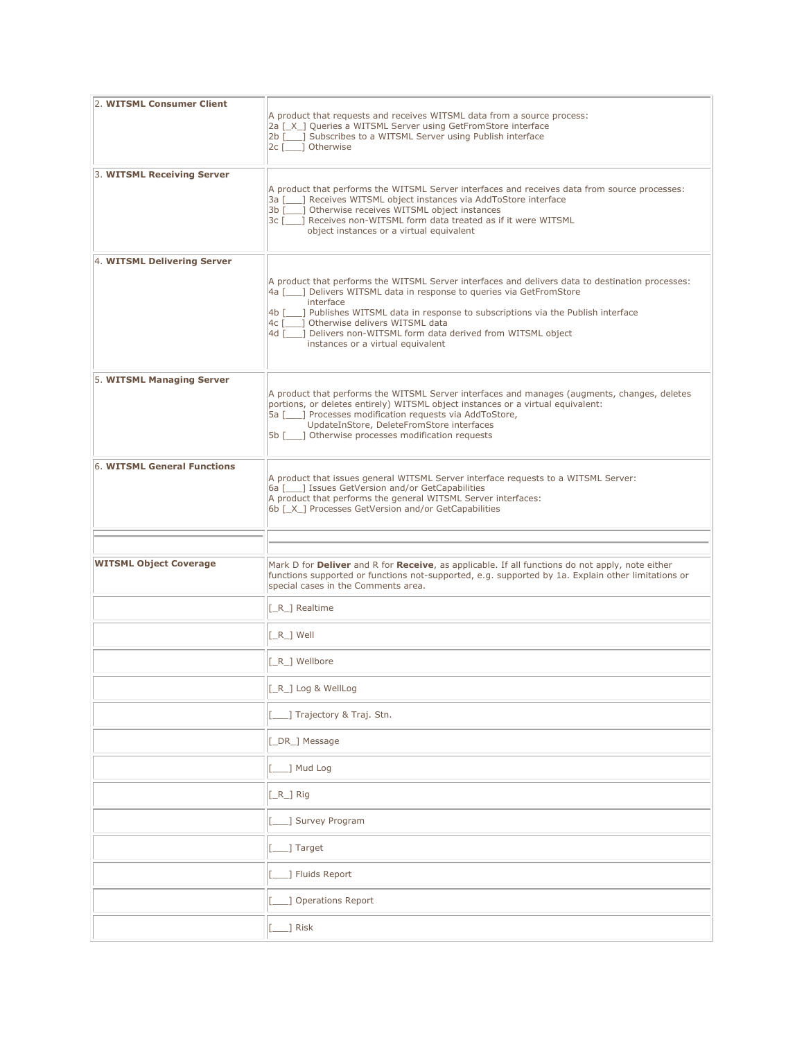| 2. WITSML Consumer Client     | A product that requests and receives WITSML data from a source process:<br>2a [ X ] Queries a WITSML Server using GetFromStore interface<br>2b [10, 3 Subscribes to a WITSML Server using Publish interface<br>2c [ ] Otherwise                                                                                                                                                                                                        |
|-------------------------------|----------------------------------------------------------------------------------------------------------------------------------------------------------------------------------------------------------------------------------------------------------------------------------------------------------------------------------------------------------------------------------------------------------------------------------------|
| 3. WITSML Receiving Server    | A product that performs the WITSML Server interfaces and receives data from source processes:<br>3a [10,1] Receives WITSML object instances via AddToStore interface<br>3b [10] Otherwise receives WITSML object instances<br>3c [ ] Receives non-WITSML form data treated as if it were WITSML<br>object instances or a virtual equivalent                                                                                            |
| 4. WITSML Delivering Server   | A product that performs the WITSML Server interfaces and delivers data to destination processes:<br>4a [100] Delivers WITSML data in response to queries via GetFromStore<br>interface<br>4b [1000] Publishes WITSML data in response to subscriptions via the Publish interface<br>4c [___] Otherwise delivers WITSML data<br>] Delivers non-WITSML form data derived from WITSML object<br>4d [<br>instances or a virtual equivalent |
| 5. WITSML Managing Server     | A product that performs the WITSML Server interfaces and manages (augments, changes, deletes<br>portions, or deletes entirely) WITSML object instances or a virtual equivalent:<br>5a [10,1] Processes modification requests via AddToStore,<br>UpdateInStore, DeleteFromStore interfaces<br>5b [100] Otherwise processes modification requests                                                                                        |
| 6. WITSML General Functions   | A product that issues general WITSML Server interface requests to a WITSML Server:<br>6a [10, 1 Issues GetVersion and/or GetCapabilities<br>A product that performs the general WITSML Server interfaces:<br>6b [X_] Processes GetVersion and/or GetCapabilities                                                                                                                                                                       |
|                               |                                                                                                                                                                                                                                                                                                                                                                                                                                        |
| <b>WITSML Object Coverage</b> | Mark D for Deliver and R for Receive, as applicable. If all functions do not apply, note either<br>functions supported or functions not-supported, e.g. supported by 1a. Explain other limitations or<br>special cases in the Comments area.                                                                                                                                                                                           |
|                               | [_R_] Realtime                                                                                                                                                                                                                                                                                                                                                                                                                         |
|                               | $\lceil R_$ Well                                                                                                                                                                                                                                                                                                                                                                                                                       |
|                               | [_R_] Wellbore                                                                                                                                                                                                                                                                                                                                                                                                                         |
|                               | [_R_] Log & WellLog                                                                                                                                                                                                                                                                                                                                                                                                                    |
|                               | 1 Trajectory & Traj. Stn.                                                                                                                                                                                                                                                                                                                                                                                                              |
|                               | [_DR_] Message                                                                                                                                                                                                                                                                                                                                                                                                                         |
|                               | 1 Mud Log                                                                                                                                                                                                                                                                                                                                                                                                                              |
|                               | $[LR_]$ Rig                                                                                                                                                                                                                                                                                                                                                                                                                            |
|                               | _] Survey Program                                                                                                                                                                                                                                                                                                                                                                                                                      |
|                               | _] Target                                                                                                                                                                                                                                                                                                                                                                                                                              |
|                               | ] Fluids Report                                                                                                                                                                                                                                                                                                                                                                                                                        |
|                               | ] Operations Report                                                                                                                                                                                                                                                                                                                                                                                                                    |
|                               | $\Box$ ] Risk                                                                                                                                                                                                                                                                                                                                                                                                                          |